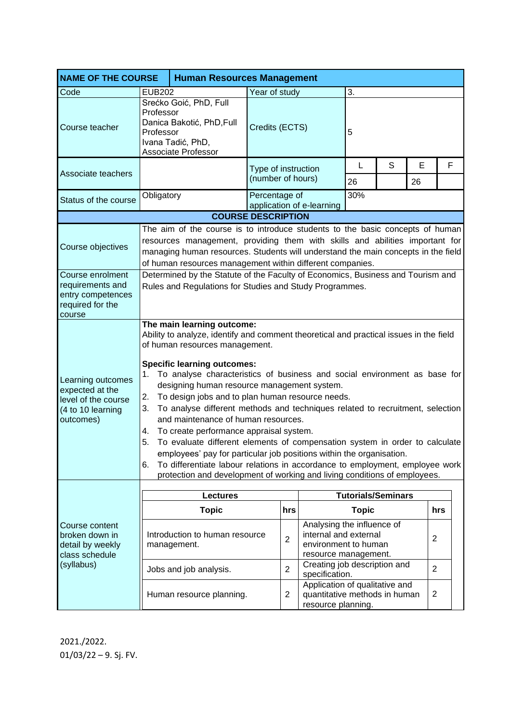| <b>NAME OF THE COURSE</b><br><b>Human Resources Management</b>                                |                                                                                                                                                                                                                                                                                                                                                                                                                                                                                                                                                                                                                                                                                                                                                                                                                                                                                                         |                                               |                     |                |                                                                                                     |                           |   |    |                |  |
|-----------------------------------------------------------------------------------------------|---------------------------------------------------------------------------------------------------------------------------------------------------------------------------------------------------------------------------------------------------------------------------------------------------------------------------------------------------------------------------------------------------------------------------------------------------------------------------------------------------------------------------------------------------------------------------------------------------------------------------------------------------------------------------------------------------------------------------------------------------------------------------------------------------------------------------------------------------------------------------------------------------------|-----------------------------------------------|---------------------|----------------|-----------------------------------------------------------------------------------------------------|---------------------------|---|----|----------------|--|
| Code                                                                                          | <b>EUB202</b>                                                                                                                                                                                                                                                                                                                                                                                                                                                                                                                                                                                                                                                                                                                                                                                                                                                                                           |                                               | Year of study       |                | 3.                                                                                                  |                           |   |    |                |  |
| Course teacher                                                                                | Srećko Goić, PhD, Full<br>Professor<br>Danica Bakotić, PhD, Full<br>Professor<br>Ivana Tadić, PhD,<br>Associate Professor                                                                                                                                                                                                                                                                                                                                                                                                                                                                                                                                                                                                                                                                                                                                                                               |                                               | Credits (ECTS)      |                |                                                                                                     | 5                         |   |    |                |  |
|                                                                                               |                                                                                                                                                                                                                                                                                                                                                                                                                                                                                                                                                                                                                                                                                                                                                                                                                                                                                                         |                                               | Type of instruction |                | L                                                                                                   | S                         | E | F  |                |  |
| Associate teachers                                                                            |                                                                                                                                                                                                                                                                                                                                                                                                                                                                                                                                                                                                                                                                                                                                                                                                                                                                                                         |                                               | (number of hours)   |                |                                                                                                     | 26                        |   | 26 |                |  |
| Status of the course                                                                          | Obligatory                                                                                                                                                                                                                                                                                                                                                                                                                                                                                                                                                                                                                                                                                                                                                                                                                                                                                              |                                               | Percentage of       |                | application of e-learning                                                                           | 30%                       |   |    |                |  |
|                                                                                               |                                                                                                                                                                                                                                                                                                                                                                                                                                                                                                                                                                                                                                                                                                                                                                                                                                                                                                         | <b>COURSE DESCRIPTION</b>                     |                     |                |                                                                                                     |                           |   |    |                |  |
| Course objectives                                                                             | The aim of the course is to introduce students to the basic concepts of human<br>resources management, providing them with skills and abilities important for<br>managing human resources. Students will understand the main concepts in the field<br>of human resources management within different companies.                                                                                                                                                                                                                                                                                                                                                                                                                                                                                                                                                                                         |                                               |                     |                |                                                                                                     |                           |   |    |                |  |
| Course enrolment<br>requirements and<br>entry competences<br>required for the<br>course       | Determined by the Statute of the Faculty of Economics, Business and Tourism and<br>Rules and Regulations for Studies and Study Programmes.                                                                                                                                                                                                                                                                                                                                                                                                                                                                                                                                                                                                                                                                                                                                                              |                                               |                     |                |                                                                                                     |                           |   |    |                |  |
| Learning outcomes<br>expected at the<br>level of the course<br>(4 to 10 learning<br>outcomes) | The main learning outcome:<br>Ability to analyze, identify and comment theoretical and practical issues in the field<br>of human resources management.<br><b>Specific learning outcomes:</b><br>To analyse characteristics of business and social environment as base for<br>1.<br>designing human resource management system.<br>To design jobs and to plan human resource needs.<br>2.<br>To analyse different methods and techniques related to recruitment, selection<br>3.<br>and maintenance of human resources.<br>To create performance appraisal system.<br>4.<br>To evaluate different elements of compensation system in order to calculate<br>5.<br>employees' pay for particular job positions within the organisation.<br>To differentiate labour relations in accordance to employment, employee work<br>6.<br>protection and development of working and living conditions of employees. |                                               |                     |                |                                                                                                     |                           |   |    |                |  |
|                                                                                               | <b>Lectures</b>                                                                                                                                                                                                                                                                                                                                                                                                                                                                                                                                                                                                                                                                                                                                                                                                                                                                                         |                                               |                     |                |                                                                                                     | <b>Tutorials/Seminars</b> |   |    |                |  |
| Course content<br>broken down in<br>detail by weekly<br>class schedule<br>(syllabus)          |                                                                                                                                                                                                                                                                                                                                                                                                                                                                                                                                                                                                                                                                                                                                                                                                                                                                                                         | <b>Topic</b>                                  |                     | hrs            |                                                                                                     | <b>Topic</b>              |   |    | hrs            |  |
|                                                                                               |                                                                                                                                                                                                                                                                                                                                                                                                                                                                                                                                                                                                                                                                                                                                                                                                                                                                                                         | Introduction to human resource<br>management. |                     | $\overline{2}$ | Analysing the influence of<br>internal and external<br>environment to human<br>resource management. |                           |   |    | $\overline{2}$ |  |
|                                                                                               |                                                                                                                                                                                                                                                                                                                                                                                                                                                                                                                                                                                                                                                                                                                                                                                                                                                                                                         | Jobs and job analysis.                        |                     | $\overline{2}$ | Creating job description and<br>specification.                                                      |                           |   |    | $\overline{2}$ |  |
|                                                                                               |                                                                                                                                                                                                                                                                                                                                                                                                                                                                                                                                                                                                                                                                                                                                                                                                                                                                                                         | Human resource planning.                      |                     | $\overline{2}$ | Application of qualitative and<br>quantitative methods in human<br>resource planning.               |                           |   |    | $\overline{2}$ |  |

2021./2022. 01/03/22 – 9. Sj. FV.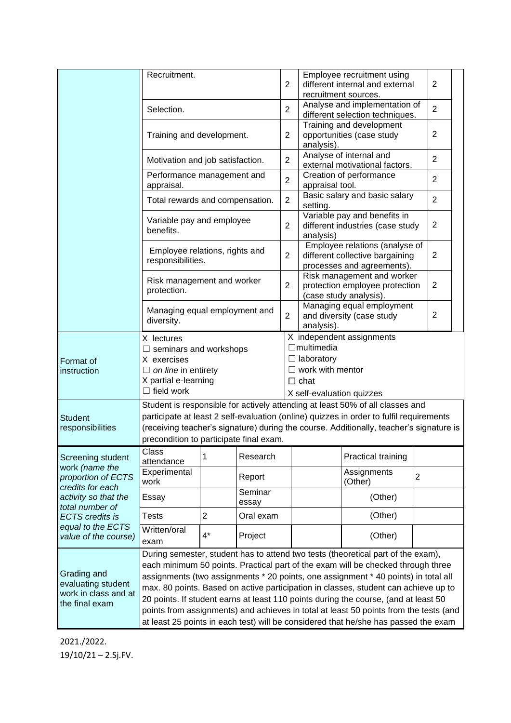|                                                                                                                                                                                                 | Recruitment.                                                                                                                                                                                                                                                                                                                                                                                                                                                                                                                      |                |                  | $\overline{2}$ |                                                                                                               | Employee recruitment using<br>different internal and external<br>recruitment sources.                             |  |                |  |
|-------------------------------------------------------------------------------------------------------------------------------------------------------------------------------------------------|-----------------------------------------------------------------------------------------------------------------------------------------------------------------------------------------------------------------------------------------------------------------------------------------------------------------------------------------------------------------------------------------------------------------------------------------------------------------------------------------------------------------------------------|----------------|------------------|----------------|---------------------------------------------------------------------------------------------------------------|-------------------------------------------------------------------------------------------------------------------|--|----------------|--|
|                                                                                                                                                                                                 | Selection.                                                                                                                                                                                                                                                                                                                                                                                                                                                                                                                        |                |                  | $\overline{2}$ |                                                                                                               | Analyse and implementation of<br>different selection techniques.                                                  |  | $\overline{2}$ |  |
|                                                                                                                                                                                                 | Training and development.                                                                                                                                                                                                                                                                                                                                                                                                                                                                                                         |                |                  |                | analysis).                                                                                                    | Training and development<br>opportunities (case study                                                             |  |                |  |
|                                                                                                                                                                                                 | Motivation and job satisfaction.                                                                                                                                                                                                                                                                                                                                                                                                                                                                                                  |                |                  |                |                                                                                                               | Analyse of internal and<br>$\overline{2}$<br>external motivational factors.                                       |  |                |  |
|                                                                                                                                                                                                 | Performance management and<br>appraisal.                                                                                                                                                                                                                                                                                                                                                                                                                                                                                          |                |                  |                | Creation of performance<br>$\overline{2}$<br>appraisal tool.                                                  |                                                                                                                   |  |                |  |
|                                                                                                                                                                                                 | Total rewards and compensation.                                                                                                                                                                                                                                                                                                                                                                                                                                                                                                   |                |                  |                | Basic salary and basic salary<br>$\overline{2}$<br>setting.                                                   |                                                                                                                   |  |                |  |
|                                                                                                                                                                                                 | Variable pay and employee<br>benefits.                                                                                                                                                                                                                                                                                                                                                                                                                                                                                            |                |                  |                | Variable pay and benefits in<br>2<br>different industries (case study<br>analysis)                            |                                                                                                                   |  |                |  |
|                                                                                                                                                                                                 | Employee relations, rights and<br>responsibilities.                                                                                                                                                                                                                                                                                                                                                                                                                                                                               |                |                  | $\overline{2}$ |                                                                                                               | Employee relations (analyse of<br>$\overline{2}$<br>different collective bargaining<br>processes and agreements). |  |                |  |
|                                                                                                                                                                                                 | Risk management and worker<br>protection.                                                                                                                                                                                                                                                                                                                                                                                                                                                                                         |                |                  | $\overline{2}$ |                                                                                                               | Risk management and worker<br>2<br>protection employee protection<br>(case study analysis).                       |  |                |  |
|                                                                                                                                                                                                 | Managing equal employment and<br>diversity.                                                                                                                                                                                                                                                                                                                                                                                                                                                                                       |                |                  | $\overline{2}$ | analysis).                                                                                                    | Managing equal employment<br>$\overline{2}$<br>and diversity (case study                                          |  |                |  |
| Format of<br>instruction                                                                                                                                                                        | X lectures<br>$\Box$ seminars and workshops<br>X exercises<br>$\Box$ on line in entirety<br>X partial e-learning<br>$\Box$ field work                                                                                                                                                                                                                                                                                                                                                                                             |                |                  |                | X independent assignments<br>$\Box$ multimedia<br>$\Box$ laboratory<br>$\Box$ work with mentor<br>$\Box$ chat |                                                                                                                   |  |                |  |
| <b>Student</b><br>responsibilities                                                                                                                                                              | X self-evaluation quizzes<br>Student is responsible for actively attending at least 50% of all classes and<br>participate at least 2 self-evaluation (online) quizzes in order to fulfil requirements<br>(receiving teacher's signature) during the course. Additionally, teacher's signature is<br>precondition to participate final exam.                                                                                                                                                                                       |                |                  |                |                                                                                                               |                                                                                                                   |  |                |  |
| Screening student<br>work (name the<br>proportion of ECTS<br>credits for each<br>activity so that the<br>total number of<br><b>ECTS</b> credits is<br>equal to the ECTS<br>value of the course) | Class<br>1<br>attendance                                                                                                                                                                                                                                                                                                                                                                                                                                                                                                          |                | Research         |                |                                                                                                               | Practical training                                                                                                |  |                |  |
|                                                                                                                                                                                                 | Experimental<br>work                                                                                                                                                                                                                                                                                                                                                                                                                                                                                                              |                | Report           |                |                                                                                                               | Assignments<br>$\overline{c}$<br>(Other)                                                                          |  |                |  |
|                                                                                                                                                                                                 | Essay                                                                                                                                                                                                                                                                                                                                                                                                                                                                                                                             |                | Seminar<br>essay |                |                                                                                                               | (Other)                                                                                                           |  |                |  |
|                                                                                                                                                                                                 | <b>Tests</b>                                                                                                                                                                                                                                                                                                                                                                                                                                                                                                                      | $\overline{2}$ | Oral exam        |                |                                                                                                               | (Other)                                                                                                           |  |                |  |
|                                                                                                                                                                                                 | Written/oral<br>exam                                                                                                                                                                                                                                                                                                                                                                                                                                                                                                              | $4^*$          | Project          |                |                                                                                                               | (Other)                                                                                                           |  |                |  |
| Grading and<br>evaluating student<br>work in class and at<br>the final exam                                                                                                                     | During semester, student has to attend two tests (theoretical part of the exam),<br>each minimum 50 points. Practical part of the exam will be checked through three<br>assignments (two assignments * 20 points, one assignment * 40 points) in total all<br>max. 80 points. Based on active participation in classes, student can achieve up to<br>20 points. If student earns at least 110 points during the course, (and at least 50<br>points from assignments) and achieves in total at least 50 points from the tests (and |                |                  |                |                                                                                                               |                                                                                                                   |  |                |  |
|                                                                                                                                                                                                 |                                                                                                                                                                                                                                                                                                                                                                                                                                                                                                                                   |                |                  |                |                                                                                                               | at least 25 points in each test) will be considered that he/she has passed the exam                               |  |                |  |

2021./2022. 19/10/21 – 2.Sj.FV.